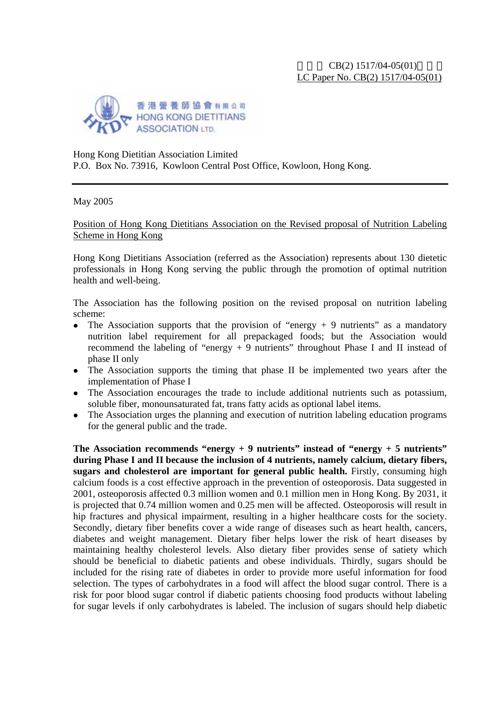

Hong Kong Dietitian Association Limited P.O. Box No. 73916, Kowloon Central Post Office, Kowloon, Hong Kong.

May 2005

Position of Hong Kong Dietitians Association on the Revised proposal of Nutrition Labeling Scheme in Hong Kong

Hong Kong Dietitians Association (referred as the Association) represents about 130 dietetic professionals in Hong Kong serving the public through the promotion of optimal nutrition health and well-being.

The Association has the following position on the revised proposal on nutrition labeling scheme:

- The Association supports that the provision of "energy  $+9$  nutrients" as a mandatory nutrition label requirement for all prepackaged foods; but the Association would recommend the labeling of "energy + 9 nutrients" throughout Phase I and II instead of phase II only
- The Association supports the timing that phase II be implemented two years after the implementation of Phase I
- The Association encourages the trade to include additional nutrients such as potassium, soluble fiber, monounsaturated fat, trans fatty acids as optional label items.
- The Association urges the planning and execution of nutrition labeling education programs for the general public and the trade.

**The Association recommends "energy + 9 nutrients" instead of "energy + 5 nutrients" during Phase I and II because the inclusion of 4 nutrients, namely calcium, dietary fibers, sugars and cholesterol are important for general public health.** Firstly, consuming high calcium foods is a cost effective approach in the prevention of osteoporosis. Data suggested in 2001, osteoporosis affected 0.3 million women and 0.1 million men in Hong Kong. By 2031, it is projected that 0.74 million women and 0.25 men will be affected. Osteoporosis will result in hip fractures and physical impairment, resulting in a higher healthcare costs for the society. Secondly, dietary fiber benefits cover a wide range of diseases such as heart health, cancers, diabetes and weight management. Dietary fiber helps lower the risk of heart diseases by maintaining healthy cholesterol levels. Also dietary fiber provides sense of satiety which should be beneficial to diabetic patients and obese individuals. Thirdly, sugars should be included for the rising rate of diabetes in order to provide more useful information for food selection. The types of carbohydrates in a food will affect the blood sugar control. There is a risk for poor blood sugar control if diabetic patients choosing food products without labeling for sugar levels if only carbohydrates is labeled. The inclusion of sugars should help diabetic